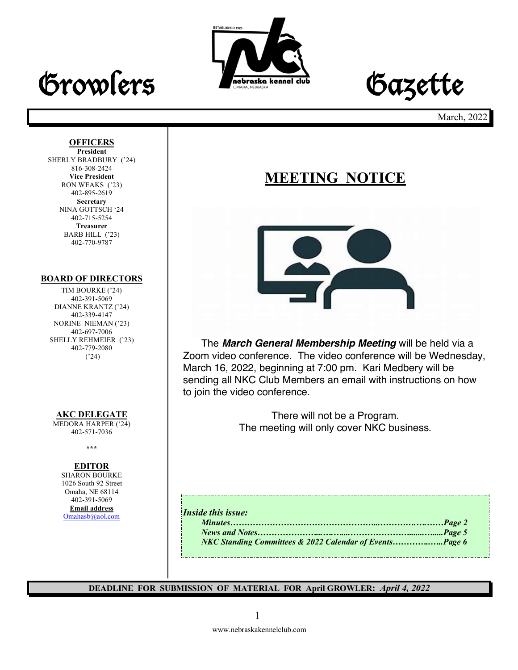

# Growlers **Frederate Accounted dub** Gazette

March, 2022

#### **OFFICERS**

**President** SHERLY BRADBURY ('24) 816-308-2424 **Vice President** RON WEAKS ('23) 402-895-2619 **Secretary** NINA GOTTSCH '24 402-715-5254 **Treasurer** BARB HILL ('23) 402-770-9787

#### **BOARD OF DIRECTORS**

TIM BOURKE ('24) 402-391-5069 DIANNE KRANTZ ('24) 402-339-4147 NORINE NIEMAN ('23) 402-697-7006 SHELLY REHMEIER ('23) 402-779-2080 ('24)

#### **AKC DELEGATE**

MEDORA HARPER ('24) 402-571-7036

**\*\*\***

#### **EDITOR**

SHARON BOURKE 1026 South 92 Street Omaha, NE 68114 402-391-5069 **Email address** Omahasb@aol.com

## **MEETING NOTICE**



The *March General Membership Meeting* will be held via a Zoom video conference. The video conference will be Wednesday, March 16, 2022, beginning at 7:00 pm. Kari Medbery will be sending all NKC Club Members an email with instructions on how to join the video conference.

> There will not be a Program. The meeting will only cover NKC business.

#### *Inside this issue:*

| iul <i>mus w</i> onl. |  |
|-----------------------|--|
|                       |  |
|                       |  |
|                       |  |
|                       |  |

-------------------------------

**DEADLINE FOR SUBMISSION OF MATERIAL FOR April GROWLER:** *April 4, 2022*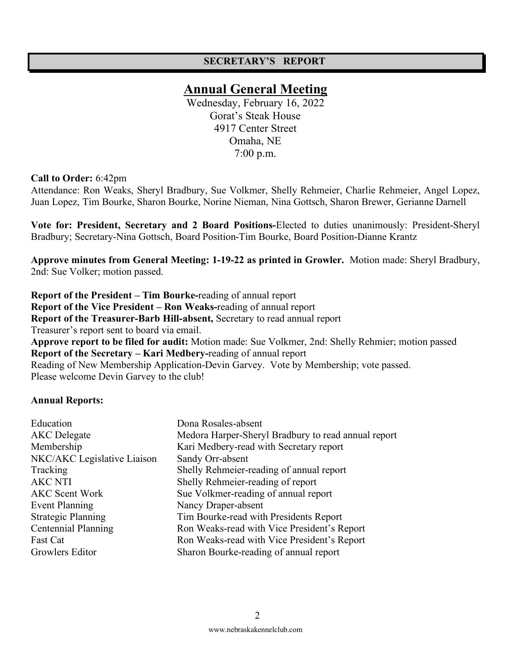#### **SECRETARY'S REPORT**

## **Annual General Meeting**

Wednesday, February 16, 2022 Gorat's Steak House 4917 Center Street Omaha, NE 7:00 p.m.

#### **Call to Order:** 6:42pm

Attendance: Ron Weaks, Sheryl Bradbury, Sue Volkmer, Shelly Rehmeier, Charlie Rehmeier, Angel Lopez, Juan Lopez, Tim Bourke, Sharon Bourke, Norine Nieman, Nina Gottsch, Sharon Brewer, Gerianne Darnell

**Vote for: President, Secretary and 2 Board Positions-**Elected to duties unanimously: President-Sheryl Bradbury; Secretary-Nina Gottsch, Board Position-Tim Bourke, Board Position-Dianne Krantz

**Approve minutes from General Meeting: 1-19-22 as printed in Growler.** Motion made: Sheryl Bradbury, 2nd: Sue Volker; motion passed.

**Report of the President – Tim Bourke-**reading of annual report **Report of the Vice President – Ron Weaks-**reading of annual report **Report of the Treasurer-Barb Hill-absent,** Secretary to read annual report Treasurer's report sent to board via email. **Approve report to be filed for audit:** Motion made: Sue Volkmer, 2nd: Shelly Rehmier; motion passed **Report of the Secretary – Kari Medbery-**reading of annual report Reading of New Membership Application-Devin Garvey. Vote by Membership; vote passed. Please welcome Devin Garvey to the club!

#### **Annual Reports:**

| Education                   | Dona Rosales-absent                                 |
|-----------------------------|-----------------------------------------------------|
| <b>AKC</b> Delegate         | Medora Harper-Sheryl Bradbury to read annual report |
| Membership                  | Kari Medbery-read with Secretary report             |
| NKC/AKC Legislative Liaison | Sandy Orr-absent                                    |
| Tracking                    | Shelly Rehmeier-reading of annual report            |
| <b>AKC NTI</b>              | Shelly Rehmeier-reading of report                   |
| <b>AKC Scent Work</b>       | Sue Volkmer-reading of annual report                |
| Event Planning              | Nancy Draper-absent                                 |
| <b>Strategic Planning</b>   | Tim Bourke-read with Presidents Report              |
| Centennial Planning         | Ron Weaks-read with Vice President's Report         |
| Fast Cat                    | Ron Weaks-read with Vice President's Report         |
| Growlers Editor             | Sharon Bourke-reading of annual report              |
|                             |                                                     |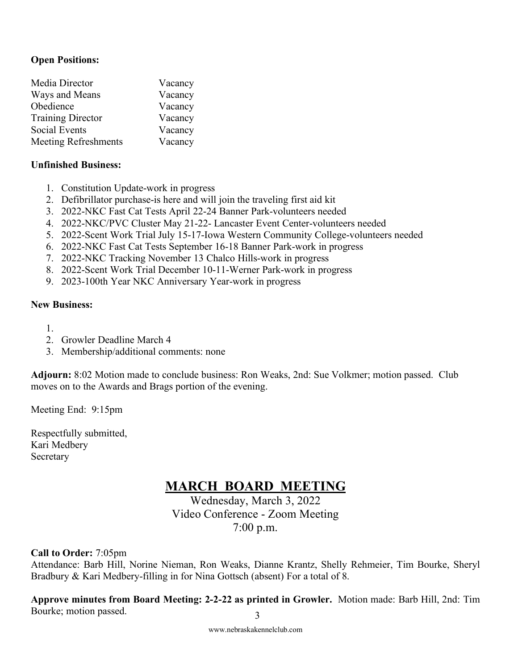#### **Open Positions:**

| Media Director              | Vacancy |
|-----------------------------|---------|
| Ways and Means              | Vacancy |
| Obedience                   | Vacancy |
| <b>Training Director</b>    | Vacancy |
| <b>Social Events</b>        | Vacancy |
| <b>Meeting Refreshments</b> | Vacancy |

#### **Unfinished Business:**

- 1. Constitution Update-work in progress
- 2. Defibrillator purchase-is here and will join the traveling first aid kit
- 3. 2022-NKC Fast Cat Tests April 22-24 Banner Park-volunteers needed
- 4. 2022-NKC/PVC Cluster May 21-22- Lancaster Event Center-volunteers needed
- 5. 2022-Scent Work Trial July 15-17-Iowa Western Community College-volunteers needed
- 6. 2022-NKC Fast Cat Tests September 16-18 Banner Park-work in progress
- 7. 2022-NKC Tracking November 13 Chalco Hills-work in progress
- 8. 2022-Scent Work Trial December 10-11-Werner Park-work in progress
- 9. 2023-100th Year NKC Anniversary Year-work in progress

#### **New Business:**

- 1.
- 2. Growler Deadline March 4
- 3. Membership/additional comments: none

**Adjourn:** 8:02 Motion made to conclude business: Ron Weaks, 2nd: Sue Volkmer; motion passed. Club moves on to the Awards and Brags portion of the evening.

Meeting End: 9:15pm

Respectfully submitted, Kari Medbery Secretary

## **MARCH BOARD MEETING**

Wednesday, March 3, 2022 Video Conference - Zoom Meeting 7:00 p.m.

**Call to Order:** 7:05pm

Attendance: Barb Hill, Norine Nieman, Ron Weaks, Dianne Krantz, Shelly Rehmeier, Tim Bourke, Sheryl Bradbury & Kari Medbery-filling in for Nina Gottsch (absent) For a total of 8.

3 **Approve minutes from Board Meeting: 2-2-22 as printed in Growler.** Motion made: Barb Hill, 2nd: Tim Bourke; motion passed.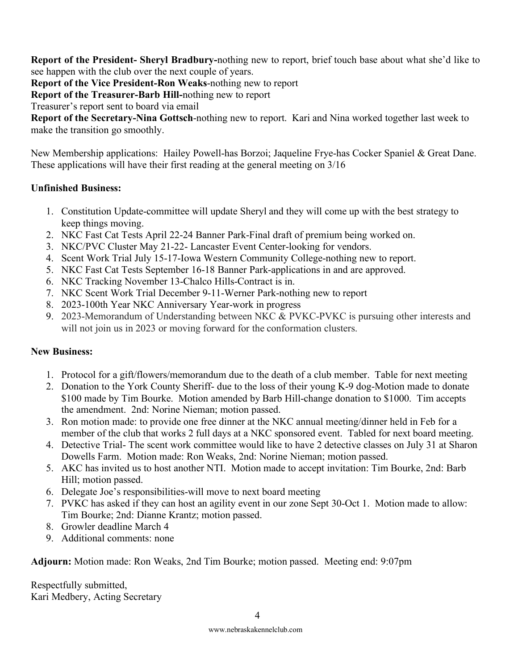**Report of the President- Sheryl Bradbury-**nothing new to report, brief touch base about what she'd like to see happen with the club over the next couple of years.

**Report of the Vice President-Ron Weaks**-nothing new to report

**Report of the Treasurer-Barb Hill-**nothing new to report

Treasurer's report sent to board via email

**Report of the Secretary-Nina Gottsch**-nothing new to report. Kari and Nina worked together last week to make the transition go smoothly.

New Membership applications: Hailey Powell-has Borzoi; Jaqueline Frye-has Cocker Spaniel & Great Dane. These applications will have their first reading at the general meeting on 3/16

#### **Unfinished Business:**

- 1. Constitution Update-committee will update Sheryl and they will come up with the best strategy to keep things moving.
- 2. NKC Fast Cat Tests April 22-24 Banner Park-Final draft of premium being worked on.
- 3. NKC/PVC Cluster May 21-22- Lancaster Event Center-looking for vendors.
- 4. Scent Work Trial July 15-17-Iowa Western Community College-nothing new to report.
- 5. NKC Fast Cat Tests September 16-18 Banner Park-applications in and are approved.
- 6. NKC Tracking November 13-Chalco Hills-Contract is in.
- 7. NKC Scent Work Trial December 9-11-Werner Park-nothing new to report
- 8. 2023-100th Year NKC Anniversary Year-work in progress
- 9. 2023-Memorandum of Understanding between NKC & PVKC-PVKC is pursuing other interests and will not join us in 2023 or moving forward for the conformation clusters.

#### **New Business:**

- 1. Protocol for a gift/flowers/memorandum due to the death of a club member. Table for next meeting
- 2. Donation to the York County Sheriff- due to the loss of their young K-9 dog-Motion made to donate \$100 made by Tim Bourke. Motion amended by Barb Hill-change donation to \$1000. Tim accepts the amendment. 2nd: Norine Nieman; motion passed.
- 3. Ron motion made: to provide one free dinner at the NKC annual meeting/dinner held in Feb for a member of the club that works 2 full days at a NKC sponsored event. Tabled for next board meeting.
- 4. Detective Trial- The scent work committee would like to have 2 detective classes on July 31 at Sharon Dowells Farm. Motion made: Ron Weaks, 2nd: Norine Nieman; motion passed.
- 5. AKC has invited us to host another NTI. Motion made to accept invitation: Tim Bourke, 2nd: Barb Hill; motion passed.
- 6. Delegate Joe's responsibilities-will move to next board meeting
- 7. PVKC has asked if they can host an agility event in our zone Sept 30-Oct 1. Motion made to allow: Tim Bourke; 2nd: Dianne Krantz; motion passed.
- 8. Growler deadline March 4
- 9. Additional comments: none

**Adjourn:** Motion made: Ron Weaks, 2nd Tim Bourke; motion passed. Meeting end: 9:07pm

Respectfully submitted, Kari Medbery, Acting Secretary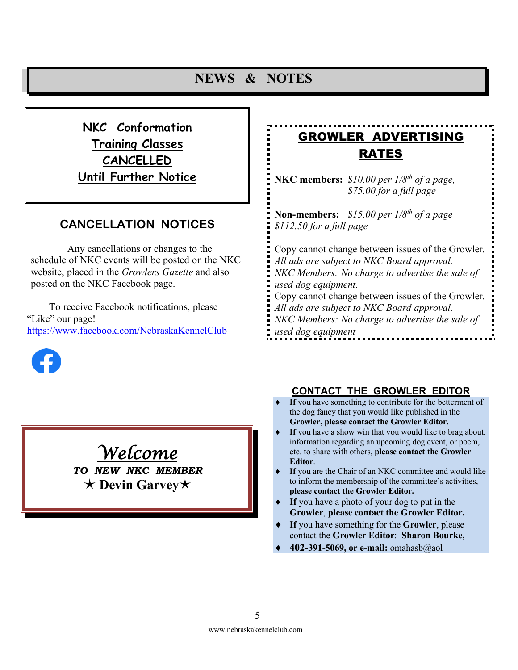## **NEWS & NOTES**

**NKC Conformation Training Classes CANCELLED Until Further Notice**

### **CANCELLATION NOTICES**

Any cancellations or changes to the schedule of NKC events will be posted on the NKC website, placed in the *Growlers Gazette* and also posted on the NKC Facebook page.

To receive Facebook notifications, please "Like" our page! https://www.facebook.com/NebraskaKennelClub



## GROWLER ADVERTISING RATES

**NKC members:** *\$10.00 per 1/8th of a page, \$75.00 for a full page* 

**Non-members:** *\$15.00 per 1/8th of a page \$112.50 for a full page*

Copy cannot change between issues of the Growler*. All ads are subject to NKC Board approval. NKC Members: No charge to advertise the sale of used dog equipment.* Copy cannot change between issues of the Growler*. All ads are subject to NKC Board approval. NKC Members: No charge to advertise the sale of used dog equipment*

#### **CONTACT THE GROWLER EDITOR**

- If you have something to contribute for the betterment of the dog fancy that you would like published in the **Growler, please contact the Growler Editor.**
- If you have a show win that you would like to brag about, information regarding an upcoming dog event, or poem, etc. to share with others, **please contact the Growler Editor**.
- If you are the Chair of an NKC committee and would like to inform the membership of the committee's activities, **please contact the Growler Editor.**
- If you have a photo of your dog to put in the **Growler**, **please contact the Growler Editor.**
- If you have something for the **Growler**, please contact the **Growler Editor**: **Sharon Bourke,**
- ¨ **402-391-5069, or e-mail:** omahasb@aol

## *Welcome*

*TO NEW NKC MEMBER* é **Devin Garvey**é